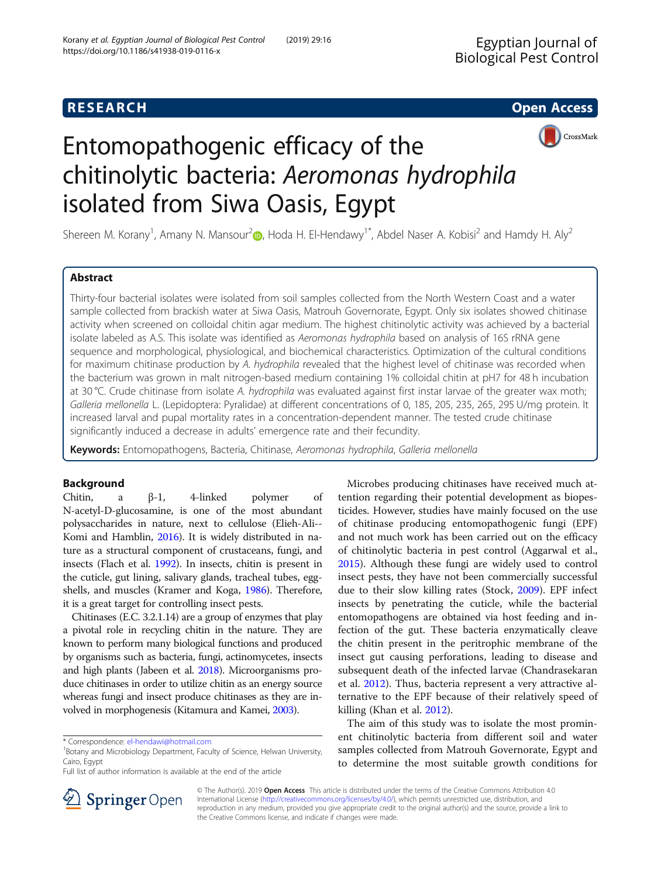

# Entomopathogenic efficacy of the chitinolytic bacteria: Aeromonas hydrophila isolated from Siwa Oasis, Egypt

Shereen M. Korany<sup>1</sup>[,](http://orcid.org/0000-0002-2245-4885) Amany N. Mansour<sup>2</sup> $\bullet$ , Hoda H. El-Hendawy<sup>1\*</sup>, Abdel Naser A. Kobisi<sup>2</sup> and Hamdy H. Aly<sup>2</sup>

# Abstract

Thirty-four bacterial isolates were isolated from soil samples collected from the North Western Coast and a water sample collected from brackish water at Siwa Oasis, Matrouh Governorate, Egypt. Only six isolates showed chitinase activity when screened on colloidal chitin agar medium. The highest chitinolytic activity was achieved by a bacterial isolate labeled as A.S. This isolate was identified as Aeromonas hydrophila based on analysis of 16S rRNA gene sequence and morphological, physiological, and biochemical characteristics. Optimization of the cultural conditions for maximum chitinase production by A. hydrophila revealed that the highest level of chitinase was recorded when the bacterium was grown in malt nitrogen-based medium containing 1% colloidal chitin at pH7 for 48 h incubation at 30 °C. Crude chitinase from isolate A. hydrophila was evaluated against first instar larvae of the greater wax moth; Galleria mellonella L. (Lepidoptera: Pyralidae) at different concentrations of 0, 185, 205, 235, 265, 295 U/mg protein. It increased larval and pupal mortality rates in a concentration-dependent manner. The tested crude chitinase significantly induced a decrease in adults' emergence rate and their fecundity.

Keywords: Entomopathogens, Bacteria, Chitinase, Aeromonas hydrophila, Galleria mellonella

## **Background**

Chitin, a β-1, 4-linked polymer of N-acetyl-D-glucosamine, is one of the most abundant polysaccharides in nature, next to cellulose (Elieh-Ali-- Komi and Hamblin, [2016](#page-9-0)). It is widely distributed in nature as a structural component of crustaceans, fungi, and insects (Flach et al. [1992\)](#page-9-0). In insects, chitin is present in the cuticle, gut lining, salivary glands, tracheal tubes, eggshells, and muscles (Kramer and Koga, [1986](#page-9-0)). Therefore, it is a great target for controlling insect pests.

Chitinases (E.C. 3.2.1.14) are a group of enzymes that play a pivotal role in recycling chitin in the nature. They are known to perform many biological functions and produced by organisms such as bacteria, fungi, actinomycetes, insects and high plants (Jabeen et al. [2018](#page-9-0)). Microorganisms produce chitinases in order to utilize chitin as an energy source whereas fungi and insect produce chitinases as they are involved in morphogenesis (Kitamura and Kamei, [2003\)](#page-9-0).

Full list of author information is available at the end of the article

Microbes producing chitinases have received much attention regarding their potential development as biopesticides. However, studies have mainly focused on the use of chitinase producing entomopathogenic fungi (EPF) and not much work has been carried out on the efficacy of chitinolytic bacteria in pest control (Aggarwal et al., [2015](#page-9-0)). Although these fungi are widely used to control insect pests, they have not been commercially successful due to their slow killing rates (Stock, [2009](#page-9-0)). EPF infect insects by penetrating the cuticle, while the bacterial entomopathogens are obtained via host feeding and infection of the gut. These bacteria enzymatically cleave the chitin present in the peritrophic membrane of the insect gut causing perforations, leading to disease and subsequent death of the infected larvae (Chandrasekaran et al. [2012\)](#page-9-0). Thus, bacteria represent a very attractive alternative to the EPF because of their relatively speed of killing (Khan et al. [2012\)](#page-9-0).

The aim of this study was to isolate the most prominent chitinolytic bacteria from different soil and water samples collected from Matrouh Governorate, Egypt and to determine the most suitable growth conditions for



© The Author(s). 2019 Open Access This article is distributed under the terms of the Creative Commons Attribution 4.0 International License ([http://creativecommons.org/licenses/by/4.0/\)](http://creativecommons.org/licenses/by/4.0/), which permits unrestricted use, distribution, and reproduction in any medium, provided you give appropriate credit to the original author(s) and the source, provide a link to the Creative Commons license, and indicate if changes were made.

<sup>\*</sup> Correspondence: [el-hendawi@hotmail.com](mailto:el-hendawi@hotmail.com) <sup>1</sup>

 $18$ otany and Microbiology Department, Faculty of Science, Helwan University, Cairo, Egypt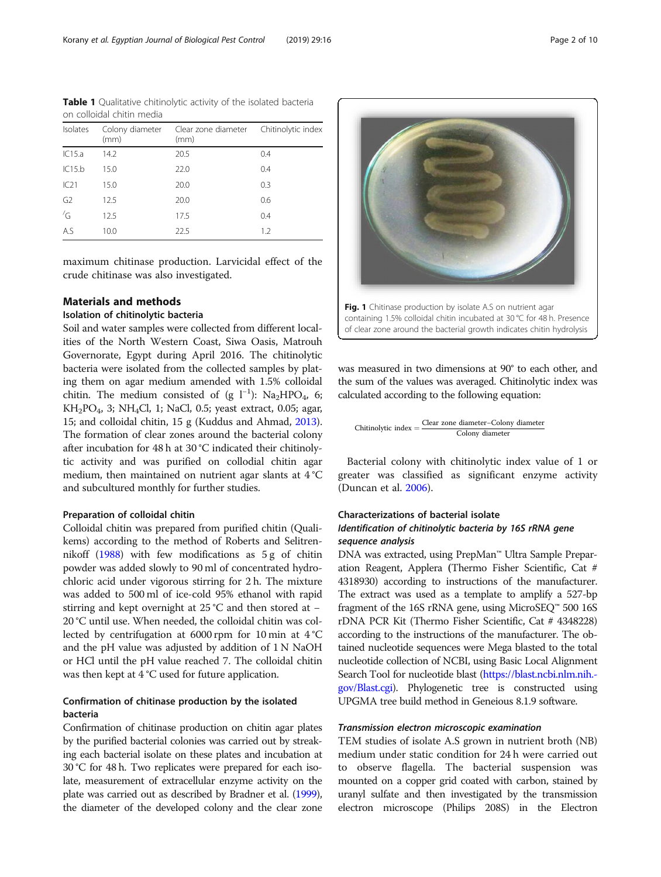| <u>UH CUNUNGI CHILIT HICUIG</u> |                         |                                                |     |  |  |
|---------------------------------|-------------------------|------------------------------------------------|-----|--|--|
| Isolates                        | Colony diameter<br>(mm) | Clear zone diameter Chitinolytic index<br>(mm) |     |  |  |
| IC15.a                          | 14.2                    | 20.5                                           | 0.4 |  |  |
| IC15.b                          | 15.0                    | 22.0                                           | 0.4 |  |  |
| IC21                            | 15.0                    | 20.0                                           | 0.3 |  |  |
| G <sub>2</sub>                  | 12.5                    | 20.0                                           | 0.6 |  |  |
| $\sqrt{G}$                      | 12.5                    | 17.5                                           | 0.4 |  |  |
| A.S                             | 10.0                    | 22.5                                           | 1.2 |  |  |

<span id="page-1-0"></span>Table 1 Qualitative chitinolytic activity of the isolated bacteria on colloidal chitin media

maximum chitinase production. Larvicidal effect of the crude chitinase was also investigated.

## Materials and methods

## Isolation of chitinolytic bacteria

Soil and water samples were collected from different localities of the North Western Coast, Siwa Oasis, Matrouh Governorate, Egypt during April 2016. The chitinolytic bacteria were isolated from the collected samples by plating them on agar medium amended with 1.5% colloidal chitin. The medium consisted of  $(g l^{-1})$ : Na<sub>2</sub>HPO<sub>4</sub>, 6;  $KH<sub>2</sub>PO<sub>4</sub>$ , 3; NH<sub>4</sub>Cl, 1; NaCl, 0.5; yeast extract, 0.05; agar, 15; and colloidal chitin, 15 g (Kuddus and Ahmad, [2013](#page-9-0)). The formation of clear zones around the bacterial colony after incubation for 48 h at 30 °C indicated their chitinolytic activity and was purified on collodial chitin agar medium, then maintained on nutrient agar slants at 4 °C and subcultured monthly for further studies.

#### Preparation of colloidal chitin

Colloidal chitin was prepared from purified chitin (Qualikems) according to the method of Roberts and Selitren-nikoff [\(1988](#page-9-0)) with few modifications as 5 g of chitin powder was added slowly to 90 ml of concentrated hydrochloric acid under vigorous stirring for 2 h. The mixture was added to 500 ml of ice-cold 95% ethanol with rapid stirring and kept overnight at 25 °C and then stored at − 20 °C until use. When needed, the colloidal chitin was collected by centrifugation at 6000 rpm for 10 min at 4 °C and the pH value was adjusted by addition of 1 N NaOH or HCl until the pH value reached 7. The colloidal chitin was then kept at 4 °C used for future application.

## Confirmation of chitinase production by the isolated bacteria

Confirmation of chitinase production on chitin agar plates by the purified bacterial colonies was carried out by streaking each bacterial isolate on these plates and incubation at 30 °C for 48 h. Two replicates were prepared for each isolate, measurement of extracellular enzyme activity on the plate was carried out as described by Bradner et al. ([1999](#page-9-0)), the diameter of the developed colony and the clear zone



of clear zone around the bacterial growth indicates chitin hydrolysis

was measured in two dimensions at 90° to each other, and the sum of the values was averaged. Chitinolytic index was calculated according to the following equation:

$$
Chitinolytic index = \frac{Clear\ zone\ diameter - Colony\ diameter}{Colony\ diameter}
$$

Bacterial colony with chitinolytic index value of 1 or greater was classified as significant enzyme activity (Duncan et al. [2006](#page-9-0)).

## Characterizations of bacterial isolate

## Identification of chitinolytic bacteria by 16S rRNA gene sequence analysis

DNA was extracted, using PrepMan™ Ultra Sample Preparation Reagent, Applera (Thermo Fisher Scientific, Cat # 4318930) according to instructions of the manufacturer. The extract was used as a template to amplify a 527-bp fragment of the 16S rRNA gene, using MicroSEQ™ 500 16S rDNA PCR Kit (Thermo Fisher Scientific, Cat # 4348228) according to the instructions of the manufacturer. The obtained nucleotide sequences were Mega blasted to the total nucleotide collection of NCBI, using Basic Local Alignment Search Tool for nucleotide blast [\(https://blast.ncbi.nlm.nih.](https://blast.ncbi.nlm.nih.gov/Blast.cgi) [gov/Blast.cgi\)](https://blast.ncbi.nlm.nih.gov/Blast.cgi). Phylogenetic tree is constructed using UPGMA tree build method in Geneious 8.1.9 software.

#### Transmission electron microscopic examination

TEM studies of isolate A.S grown in nutrient broth (NB) medium under static condition for 24 h were carried out to observe flagella. The bacterial suspension was mounted on a copper grid coated with carbon, stained by uranyl sulfate and then investigated by the transmission electron microscope (Philips 208S) in the Electron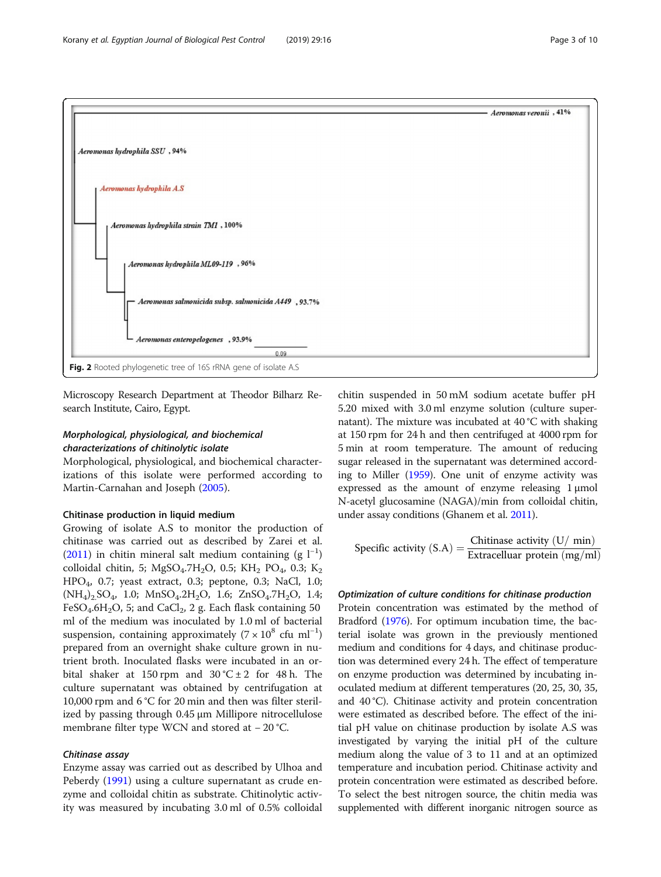<span id="page-2-0"></span>

Microscopy Research Department at Theodor Bilharz Research Institute, Cairo, Egypt.

# Morphological, physiological, and biochemical characterizations of chitinolytic isolate

Morphological, physiological, and biochemical characterizations of this isolate were performed according to Martin-Carnahan and Joseph [\(2005\)](#page-9-0).

## Chitinase production in liquid medium

Growing of isolate A.S to monitor the production of chitinase was carried out as described by Zarei et al. ([2011](#page-9-0)) in chitin mineral salt medium containing (g  $l^{-1}$ ) colloidal chitin, 5; MgSO<sub>4</sub>.7H<sub>2</sub>O, 0.5; KH<sub>2</sub> PO<sub>4</sub>, 0.3; K<sub>2</sub> HPO4, 0.7; yeast extract, 0.3; peptone, 0.3; NaCl, 1.0;  $(NH_4)_2 SO_4$ , 1.0;  $MnSO_4.2H_2O$ , 1.6;  $ZnSO_4.7H_2O$ , 1.4; FeSO<sub>4</sub>.6H<sub>2</sub>O, 5; and CaCl<sub>2</sub>, 2 g. Each flask containing 50 ml of the medium was inoculated by 1.0 ml of bacterial suspension, containing approximately ( $7 \times 10^8$  cfu ml<sup>-1</sup>) prepared from an overnight shake culture grown in nutrient broth. Inoculated flasks were incubated in an orbital shaker at 150 rpm and  $30^{\circ}C \pm 2$  for 48 h. The culture supernatant was obtained by centrifugation at 10,000 rpm and 6 °C for 20 min and then was filter sterilized by passing through 0.45 μm Millipore nitrocellulose membrane filter type WCN and stored at − 20 °C.

## Chitinase assay

Enzyme assay was carried out as described by Ulhoa and Peberdy ([1991\)](#page-9-0) using a culture supernatant as crude enzyme and colloidal chitin as substrate. Chitinolytic activity was measured by incubating 3.0 ml of 0.5% colloidal

chitin suspended in 50 mM sodium acetate buffer pH 5.20 mixed with 3.0 ml enzyme solution (culture supernatant). The mixture was incubated at 40 °C with shaking at 150 rpm for 24 h and then centrifuged at 4000 rpm for 5 min at room temperature. The amount of reducing sugar released in the supernatant was determined according to Miller [\(1959](#page-9-0)). One unit of enzyme activity was expressed as the amount of enzyme releasing 1 μmol N-acetyl glucosamine (NAGA)/min from colloidal chitin, under assay conditions (Ghanem et al. [2011](#page-9-0)).

Specific activity 
$$
(S.A)
$$
 =  $\frac{Chitinase activity (U/min)}{Extractular protein (mg/ml)}$ 

## Optimization of culture conditions for chitinase production

Protein concentration was estimated by the method of Bradford [\(1976](#page-9-0)). For optimum incubation time, the bacterial isolate was grown in the previously mentioned medium and conditions for 4 days, and chitinase production was determined every 24 h. The effect of temperature on enzyme production was determined by incubating inoculated medium at different temperatures (20, 25, 30, 35, and 40 °C). Chitinase activity and protein concentration were estimated as described before. The effect of the initial pH value on chitinase production by isolate A.S was investigated by varying the initial pH of the culture medium along the value of 3 to 11 and at an optimized temperature and incubation period. Chitinase activity and protein concentration were estimated as described before. To select the best nitrogen source, the chitin media was supplemented with different inorganic nitrogen source as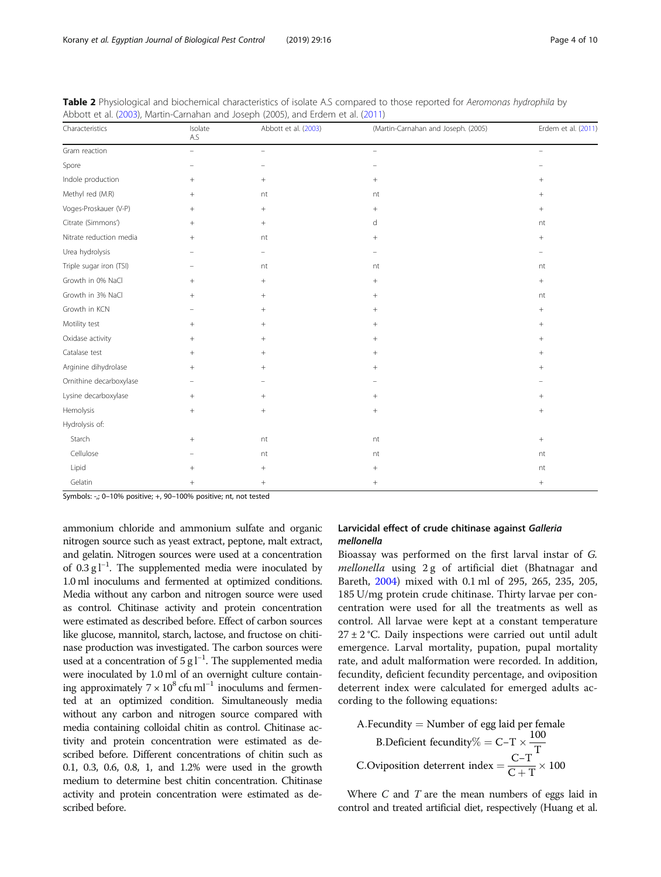| Characteristics         | Isolate<br>A.S           | Abbott et al. (2003)     | (Martin-Carnahan and Joseph. (2005) | Erdem et al. (2011)      |
|-------------------------|--------------------------|--------------------------|-------------------------------------|--------------------------|
| Gram reaction           | $\overline{\phantom{0}}$ | $\overline{\phantom{0}}$ | $\overline{\phantom{0}}$            | $\overline{\phantom{0}}$ |
| Spore                   |                          |                          |                                     |                          |
| Indole production       | $^{+}$                   | $+$                      | $+$                                 |                          |
| Methyl red (M.R)        | $\ddot{}$                | nt                       | nt                                  |                          |
| Voges-Proskauer (V-P)   | $\ddot{}$                | $\! + \!\!\!\!$          | $+$                                 | $^{+}$                   |
| Citrate (Simmons')      | $^{+}$                   | $+$                      | d                                   | nt                       |
| Nitrate reduction media | $^{+}$                   | nt                       | $^{+}$                              | $^{+}$                   |
| Urea hydrolysis         |                          | $\overline{\phantom{0}}$ |                                     |                          |
| Triple sugar iron (TSI) |                          | nt                       | nt                                  | nt                       |
| Growth in 0% NaCl       | $^{+}$                   | $+$                      | $^{+}$                              | $^{+}$                   |
| Growth in 3% NaCl       | $^{+}$                   | $^{+}$                   | $^{+}$                              | nt                       |
| Growth in KCN           |                          | $+$                      | $^{+}$                              | $^{+}$                   |
| Motility test           | $^{+}$                   | $^{+}$                   | $^{+}$                              |                          |
| Oxidase activity        | $^{+}$                   | $^{+}$                   | $^{+}$                              |                          |
| Catalase test           | $\ddot{}$                | $^{+}$                   | $^{+}$                              | $^{+}$                   |
| Arginine dihydrolase    | $^{+}$                   | $^{+}$                   | $^{+}$                              |                          |
| Ornithine decarboxylase |                          |                          |                                     |                          |
| Lysine decarboxylase    | $^{+}$                   | $^{+}$                   | $^{+}$                              |                          |
| Hemolysis               | $\! + \!\!\!\!$          | $\! + \!\!\!\!$          | $+$                                 | $^{+}$                   |
| Hydrolysis of:          |                          |                          |                                     |                          |
| Starch                  | $^{+}$                   | nt                       | nt                                  | $^{+}$                   |
| Cellulose               |                          | nt                       | $\sf{nt}$                           | nt                       |
| Lipid                   | $\ddot{}$                | $\! + \!\!\!\!$          | $\! + \!\!\!\!$                     | nt                       |
| Gelatin                 | $^{+}$                   | $^{+}$                   | $^{+}$                              | $+$                      |

<span id="page-3-0"></span>Table 2 Physiological and biochemical characteristics of isolate A.S compared to those reported for Aeromonas hydrophila by Abbott et al. ([2003\)](#page-9-0), Martin-Carnahan and Joseph (2005), and Erdem et al. ([2011\)](#page-9-0)

Symbols: -,; 0–10% positive; +, 90–100% positive; nt, not tested

ammonium chloride and ammonium sulfate and organic nitrogen source such as yeast extract, peptone, malt extract, and gelatin. Nitrogen sources were used at a concentration of 0.3 g l<sup>-1</sup>. The supplemented media were inoculated by 1.0 ml inoculums and fermented at optimized conditions. Media without any carbon and nitrogen source were used as control. Chitinase activity and protein concentration were estimated as described before. Effect of carbon sources like glucose, mannitol, starch, lactose, and fructose on chitinase production was investigated. The carbon sources were used at a concentration of 5 g l<sup>-1</sup>. The supplemented media were inoculated by 1.0 ml of an overnight culture containing approximately  $7 \times 10^8$  cfu ml<sup>−1</sup> inoculums and fermented at an optimized condition. Simultaneously media without any carbon and nitrogen source compared with media containing colloidal chitin as control. Chitinase activity and protein concentration were estimated as described before. Different concentrations of chitin such as 0.1, 0.3, 0.6, 0.8, 1, and 1.2% were used in the growth medium to determine best chitin concentration. Chitinase activity and protein concentration were estimated as described before.

## Larvicidal effect of crude chitinase against Galleria mellonella

Bioassay was performed on the first larval instar of G. mellonella using 2 g of artificial diet (Bhatnagar and Bareth, [2004\)](#page-9-0) mixed with 0.1 ml of 295, 265, 235, 205, 185 U/mg protein crude chitinase. Thirty larvae per concentration were used for all the treatments as well as control. All larvae were kept at a constant temperature  $27 \pm 2$  °C. Daily inspections were carried out until adult emergence. Larval mortality, pupation, pupal mortality rate, and adult malformation were recorded. In addition, fecundity, deficient fecundity percentage, and oviposition deterrent index were calculated for emerged adults according to the following equations:

A. Fecundity  $=$  Number of egg laid per female B.Deficient fecundity% = C-T  $\times \frac{100}{T}$ T C.Oviposition deterrent index  $=$   $\frac{C-T}{C+T} \times 100$ 

Where C and T are the mean numbers of eggs laid in control and treated artificial diet, respectively (Huang et al.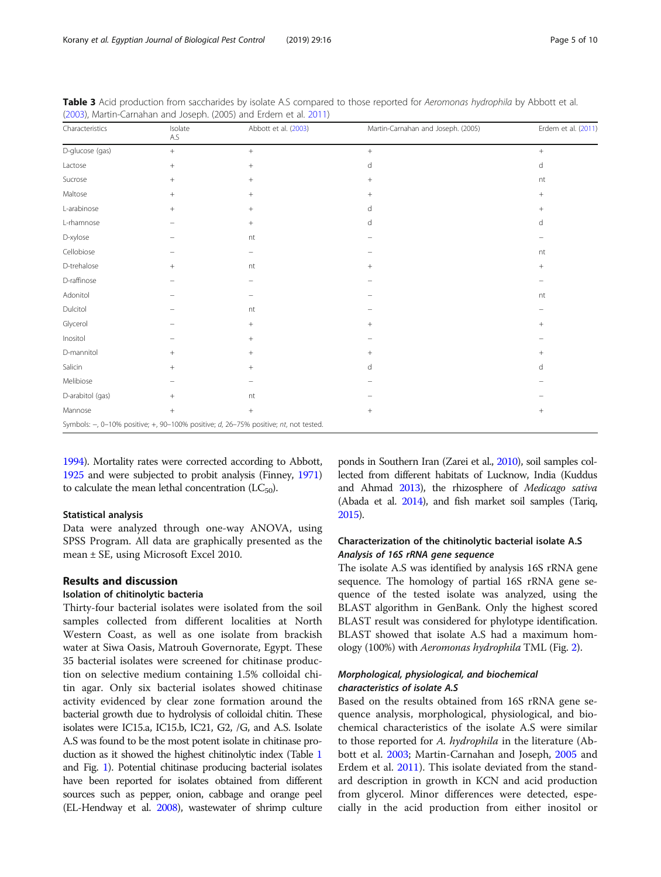| Characteristics  | Isolate<br>A.S | Abbott et al. (2003)                                                                 | Martin-Carnahan and Joseph. (2005) | Erdem et al. (2011) |
|------------------|----------------|--------------------------------------------------------------------------------------|------------------------------------|---------------------|
| D-glucose (gas)  | $+$            | $^{+}$                                                                               | $+$                                | $+$                 |
| Lactose          | $^{+}$         | $^{+}$                                                                               | d                                  | d                   |
| Sucrose          | $^{+}$         | $^{+}$                                                                               | $^{+}$                             | nt                  |
| Maltose          | $\ddot{}$      | $^{+}$                                                                               | $^{+}$                             | $^{+}$              |
| L-arabinose      | $^{+}$         | $^{+}$                                                                               | d                                  | $^{+}$              |
| L-rhamnose       |                | $^{+}$                                                                               | d                                  | d                   |
| D-xylose         |                | nt                                                                                   |                                    |                     |
| Cellobiose       |                | $\overline{\phantom{0}}$                                                             |                                    | nt                  |
| D-trehalose      | $^{+}$         | nt                                                                                   | $^{+}$                             | $^{+}$              |
| D-raffinose      |                | -                                                                                    |                                    |                     |
| Adonitol         |                |                                                                                      |                                    | nt                  |
| Dulcitol         |                | nt                                                                                   |                                    |                     |
| Glycerol         |                | $^{+}$                                                                               | $^{+}$                             | $^{+}$              |
| Inositol         |                | $^{+}$                                                                               |                                    |                     |
| D-mannitol       | $^{+}$         | $^+$                                                                                 |                                    |                     |
| Salicin          | $+$            | $^{+}$                                                                               | d                                  | d                   |
| Melibiose        |                |                                                                                      |                                    |                     |
| D-arabitol (gas) | $+$            | nt                                                                                   |                                    |                     |
| Mannose          | $+$            | $^{+}$                                                                               | $^{+}$                             | $^{+}$              |
|                  |                | Symbols: -, 0-10% positive; +, 90-100% positive; d, 26-75% positive; nt, not tested. |                                    |                     |

<span id="page-4-0"></span>Table 3 Acid production from saccharides by isolate A.S compared to those reported for Aeromonas hydrophila by Abbott et al. [\(2003](#page-9-0)), Martin-Carnahan and Joseph. (2005) and Erdem et al. [2011\)](#page-9-0)

[1994\)](#page-9-0). Mortality rates were corrected according to Abbott, [1925](#page-9-0) and were subjected to probit analysis (Finney, [1971](#page-9-0)) to calculate the mean lethal concentration  $(LC_{50})$ .

#### Statistical analysis

Data were analyzed through one-way ANOVA, using SPSS Program. All data are graphically presented as the mean ± SE, using Microsoft Excel 2010.

### Results and discussion

## Isolation of chitinolytic bacteria

Thirty-four bacterial isolates were isolated from the soil samples collected from different localities at North Western Coast, as well as one isolate from brackish water at Siwa Oasis, Matrouh Governorate, Egypt. These 35 bacterial isolates were screened for chitinase production on selective medium containing 1.5% colloidal chitin agar. Only six bacterial isolates showed chitinase activity evidenced by clear zone formation around the bacterial growth due to hydrolysis of colloidal chitin. These isolates were IC15.a, IC15.b, IC21, G2, /G, and A.S. Isolate A.S was found to be the most potent isolate in chitinase production as it showed the highest chitinolytic index (Table [1](#page-1-0) and Fig. [1](#page-1-0)). Potential chitinase producing bacterial isolates have been reported for isolates obtained from different sources such as pepper, onion, cabbage and orange peel (EL-Hendway et al. [2008\)](#page-9-0), wastewater of shrimp culture

ponds in Southern Iran (Zarei et al., [2010](#page-9-0)), soil samples collected from different habitats of Lucknow, India (Kuddus and Ahmad [2013\)](#page-9-0), the rhizosphere of Medicago sativa (Abada et al. [2014\)](#page-8-0), and fish market soil samples (Tariq, [2015](#page-9-0)).

## Characterization of the chitinolytic bacterial isolate A.S Analysis of 16S rRNA gene sequence

The isolate A.S was identified by analysis 16S rRNA gene sequence. The homology of partial 16S rRNA gene sequence of the tested isolate was analyzed, using the BLAST algorithm in GenBank. Only the highest scored BLAST result was considered for phylotype identification. BLAST showed that isolate A.S had a maximum homology (100%) with Aeromonas hydrophila TML (Fig. [2\)](#page-2-0).

## Morphological, physiological, and biochemical characteristics of isolate A.S

Based on the results obtained from 16S rRNA gene sequence analysis, morphological, physiological, and biochemical characteristics of the isolate A.S were similar to those reported for A. *hydrophila* in the literature (Abbott et al. [2003](#page-9-0); Martin-Carnahan and Joseph, [2005](#page-9-0) and Erdem et al. [2011\)](#page-9-0). This isolate deviated from the standard description in growth in KCN and acid production from glycerol. Minor differences were detected, especially in the acid production from either inositol or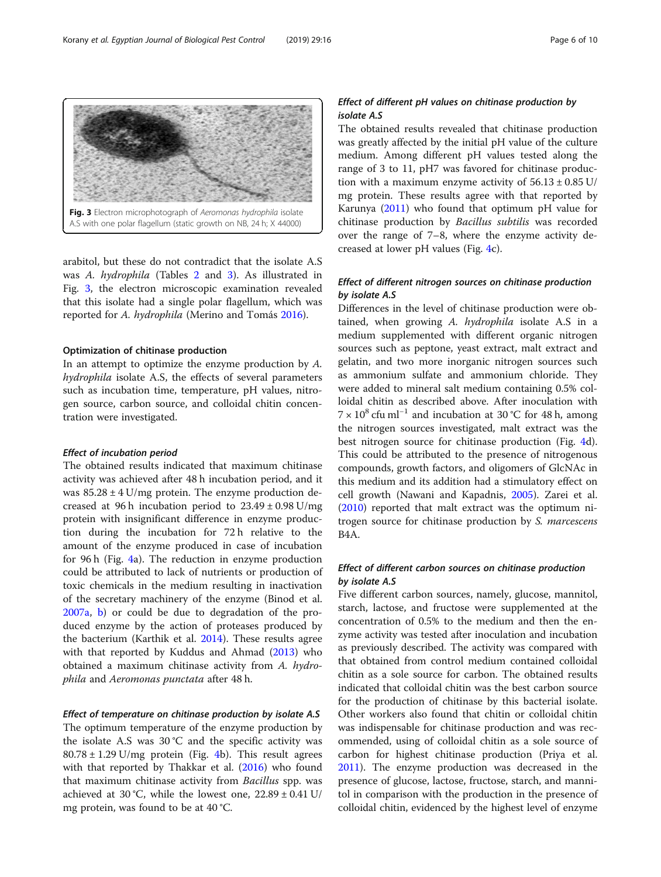

arabitol, but these do not contradict that the isolate A.S was A. hydrophila (Tables [2](#page-3-0) and [3\)](#page-4-0). As illustrated in Fig. 3, the electron microscopic examination revealed that this isolate had a single polar flagellum, which was reported for A. hydrophila (Merino and Tomás [2016\)](#page-9-0).

#### Optimization of chitinase production

In an attempt to optimize the enzyme production by A. hydrophila isolate A.S, the effects of several parameters such as incubation time, temperature, pH values, nitrogen source, carbon source, and colloidal chitin concentration were investigated.

### Effect of incubation period

The obtained results indicated that maximum chitinase activity was achieved after 48 h incubation period, and it was  $85.28 \pm 4$  U/mg protein. The enzyme production decreased at 96 h incubation period to 23.49 ± 0.98 U/mg protein with insignificant difference in enzyme production during the incubation for 72 h relative to the amount of the enzyme produced in case of incubation for 96 h (Fig. [4](#page-6-0)a). The reduction in enzyme production could be attributed to lack of nutrients or production of toxic chemicals in the medium resulting in inactivation of the secretary machinery of the enzyme (Binod et al. [2007a,](#page-9-0) [b](#page-9-0)) or could be due to degradation of the produced enzyme by the action of proteases produced by the bacterium (Karthik et al. [2014\)](#page-9-0). These results agree with that reported by Kuddus and Ahmad ([2013\)](#page-9-0) who obtained a maximum chitinase activity from A. hydrophila and Aeromonas punctata after 48 h.

Effect of temperature on chitinase production by isolate A.S The optimum temperature of the enzyme production by the isolate A.S was  $30^{\circ}$ C and the specific activity was  $80.78 \pm 1.29$  U/mg protein (Fig. [4](#page-6-0)b). This result agrees with that reported by Thakkar et al. [\(2016\)](#page-9-0) who found that maximum chitinase activity from Bacillus spp. was achieved at 30 °C, while the lowest one,  $22.89 \pm 0.41$  U/ mg protein, was found to be at 40 °C.

## Effect of different pH values on chitinase production by isolate A.S

The obtained results revealed that chitinase production was greatly affected by the initial pH value of the culture medium. Among different pH values tested along the range of 3 to 11, pH7 was favored for chitinase production with a maximum enzyme activity of  $56.13 \pm 0.85$  U/ mg protein. These results agree with that reported by Karunya [\(2011\)](#page-9-0) who found that optimum pH value for chitinase production by Bacillus subtilis was recorded over the range of 7–8, where the enzyme activity decreased at lower pH values (Fig. [4](#page-6-0)c).

## Effect of different nitrogen sources on chitinase production by isolate A.S

Differences in the level of chitinase production were obtained, when growing A. hydrophila isolate A.S in a medium supplemented with different organic nitrogen sources such as peptone, yeast extract, malt extract and gelatin, and two more inorganic nitrogen sources such as ammonium sulfate and ammonium chloride. They were added to mineral salt medium containing 0.5% colloidal chitin as described above. After inoculation with  $7 \times 10^8$  cfu ml<sup>-1</sup> and incubation at 30 °C for 48 h, among the nitrogen sources investigated, malt extract was the best nitrogen source for chitinase production (Fig. [4](#page-6-0)d). This could be attributed to the presence of nitrogenous compounds, growth factors, and oligomers of GlcNAc in this medium and its addition had a stimulatory effect on cell growth (Nawani and Kapadnis, [2005\)](#page-9-0). Zarei et al. ([2010\)](#page-9-0) reported that malt extract was the optimum nitrogen source for chitinase production by S. marcescens B4A.

# Effect of different carbon sources on chitinase production by isolate A.S

Five different carbon sources, namely, glucose, mannitol, starch, lactose, and fructose were supplemented at the concentration of 0.5% to the medium and then the enzyme activity was tested after inoculation and incubation as previously described. The activity was compared with that obtained from control medium contained colloidal chitin as a sole source for carbon. The obtained results indicated that colloidal chitin was the best carbon source for the production of chitinase by this bacterial isolate. Other workers also found that chitin or colloidal chitin was indispensable for chitinase production and was recommended, using of colloidal chitin as a sole source of carbon for highest chitinase production (Priya et al. [2011](#page-9-0)). The enzyme production was decreased in the presence of glucose, lactose, fructose, starch, and mannitol in comparison with the production in the presence of colloidal chitin, evidenced by the highest level of enzyme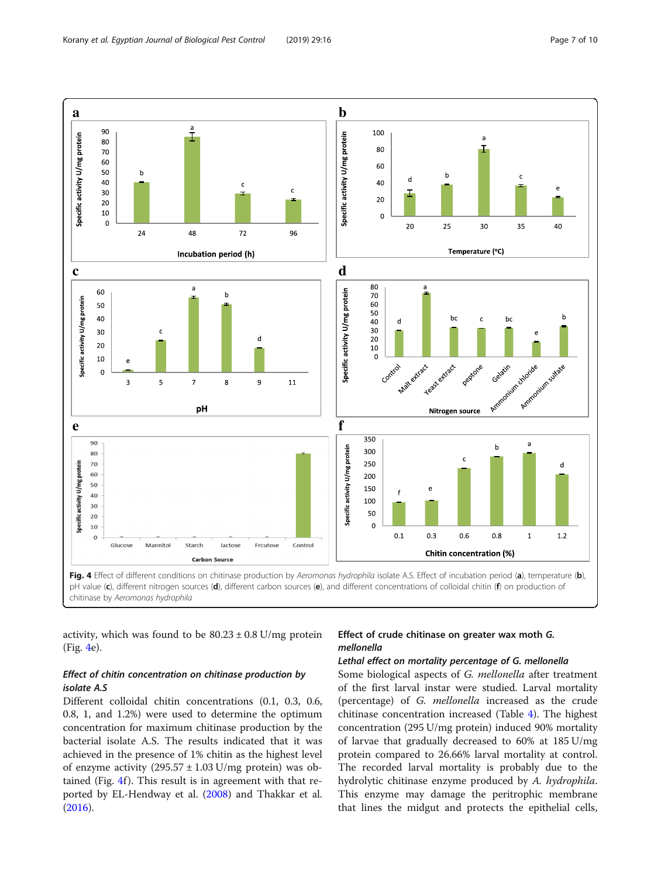<span id="page-6-0"></span>

activity, which was found to be  $80.23 \pm 0.8$  U/mg protein (Fig. 4e).

## Effect of chitin concentration on chitinase production by isolate A.S

Different colloidal chitin concentrations (0.1, 0.3, 0.6, 0.8, 1, and 1.2%) were used to determine the optimum concentration for maximum chitinase production by the bacterial isolate A.S. The results indicated that it was achieved in the presence of 1% chitin as the highest level of enzyme activity  $(295.57 \pm 1.03 \text{ U/mg}$  protein) was obtained (Fig.  $4f$ ). This result is in agreement with that reported by EL-Hendway et al. ([2008\)](#page-9-0) and Thakkar et al.  $(2016).$  $(2016).$  $(2016).$ 

# Effect of crude chitinase on greater wax moth G. mellonella

Lethal effect on mortality percentage of G. mellonella

Some biological aspects of G. mellonella after treatment of the first larval instar were studied. Larval mortality (percentage) of G. mellonella increased as the crude chitinase concentration increased (Table [4\)](#page-7-0). The highest concentration (295 U/mg protein) induced 90% mortality of larvae that gradually decreased to 60% at 185 U/mg protein compared to 26.66% larval mortality at control. The recorded larval mortality is probably due to the hydrolytic chitinase enzyme produced by A. hydrophila. This enzyme may damage the peritrophic membrane that lines the midgut and protects the epithelial cells,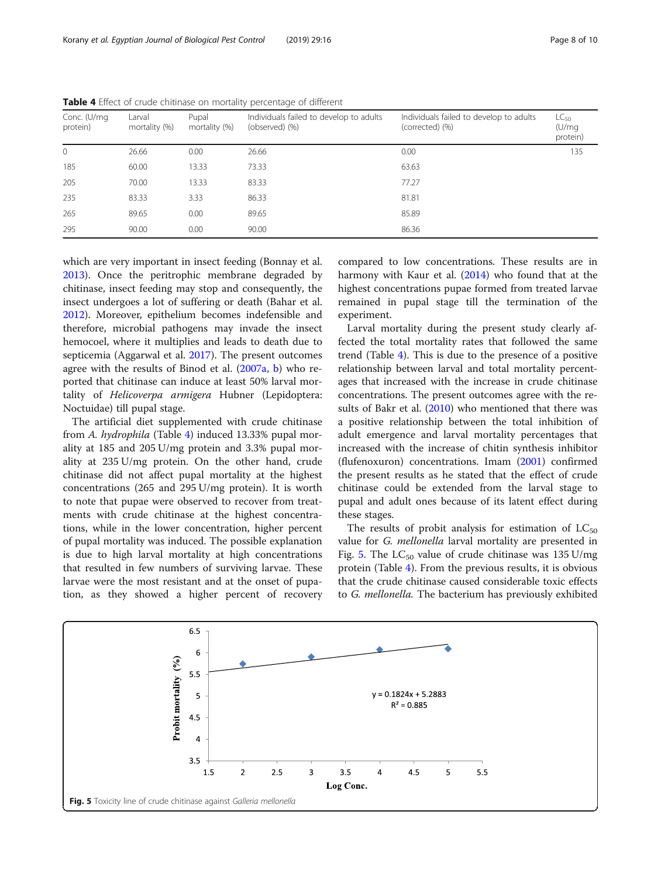| Conc. (U/mg<br>protein) | Larval<br>mortality (%) | Pupal<br>mortality (%) | Individuals failed to develop to adults<br>(observed) (%) | Individuals failed to develop to adults<br>(corrected) (%) | $LC_{50}$<br>(U/mq)<br>protein) |
|-------------------------|-------------------------|------------------------|-----------------------------------------------------------|------------------------------------------------------------|---------------------------------|
| $\mathbf{0}$            | 26.66                   | 0.00                   | 26.66                                                     | 0.00                                                       | 135                             |
| 185                     | 60.00                   | 13.33                  | 73.33                                                     | 63.63                                                      |                                 |
| 205                     | 70.00                   | 13.33                  | 83.33                                                     | 77.27                                                      |                                 |
| 235                     | 83.33                   | 3.33                   | 86.33                                                     | 81.81                                                      |                                 |
| 265                     | 89.65                   | 0.00                   | 89.65                                                     | 85.89                                                      |                                 |
| 295                     | 90.00                   | 0.00                   | 90.00                                                     | 86.36                                                      |                                 |

<span id="page-7-0"></span>Table 4 Effect of crude chitinase on mortality percentage of different

which are very important in insect feeding (Bonnay et al. [2013](#page-9-0)). Once the peritrophic membrane degraded by chitinase, insect feeding may stop and consequently, the insect undergoes a lot of suffering or death (Bahar et al. [2012](#page-9-0)). Moreover, epithelium becomes indefensible and therefore, microbial pathogens may invade the insect hemocoel, where it multiplies and leads to death due to septicemia (Aggarwal et al. [2017](#page-9-0)). The present outcomes agree with the results of Binod et al. [\(2007a](#page-9-0), [b](#page-9-0)) who reported that chitinase can induce at least 50% larval mortality of Helicoverpa armigera Hubner (Lepidoptera: Noctuidae) till pupal stage.

The artificial diet supplemented with crude chitinase from A. hydrophila (Table 4) induced 13.33% pupal morality at 185 and 205 U/mg protein and 3.3% pupal morality at 235 U/mg protein. On the other hand, crude chitinase did not affect pupal mortality at the highest concentrations (265 and 295 U/mg protein). It is worth to note that pupae were observed to recover from treatments with crude chitinase at the highest concentrations, while in the lower concentration, higher percent of pupal mortality was induced. The possible explanation is due to high larval mortality at high concentrations that resulted in few numbers of surviving larvae. These larvae were the most resistant and at the onset of pupation, as they showed a higher percent of recovery compared to low concentrations. These results are in harmony with Kaur et al. ([2014](#page-9-0)) who found that at the highest concentrations pupae formed from treated larvae remained in pupal stage till the termination of the experiment.

Larval mortality during the present study clearly affected the total mortality rates that followed the same trend (Table 4). This is due to the presence of a positive relationship between larval and total mortality percentages that increased with the increase in crude chitinase concentrations. The present outcomes agree with the results of Bakr et al. [\(2010\)](#page-9-0) who mentioned that there was a positive relationship between the total inhibition of adult emergence and larval mortality percentages that increased with the increase of chitin synthesis inhibitor (flufenoxuron) concentrations. Imam ([2001\)](#page-9-0) confirmed the present results as he stated that the effect of crude chitinase could be extended from the larval stage to pupal and adult ones because of its latent effect during these stages.

The results of probit analysis for estimation of  $LC_{50}$ value for G. mellonella larval mortality are presented in Fig. 5. The  $LC_{50}$  value of crude chitinase was 135 U/mg protein (Table 4). From the previous results, it is obvious that the crude chitinase caused considerable toxic effects to G. mellonella. The bacterium has previously exhibited

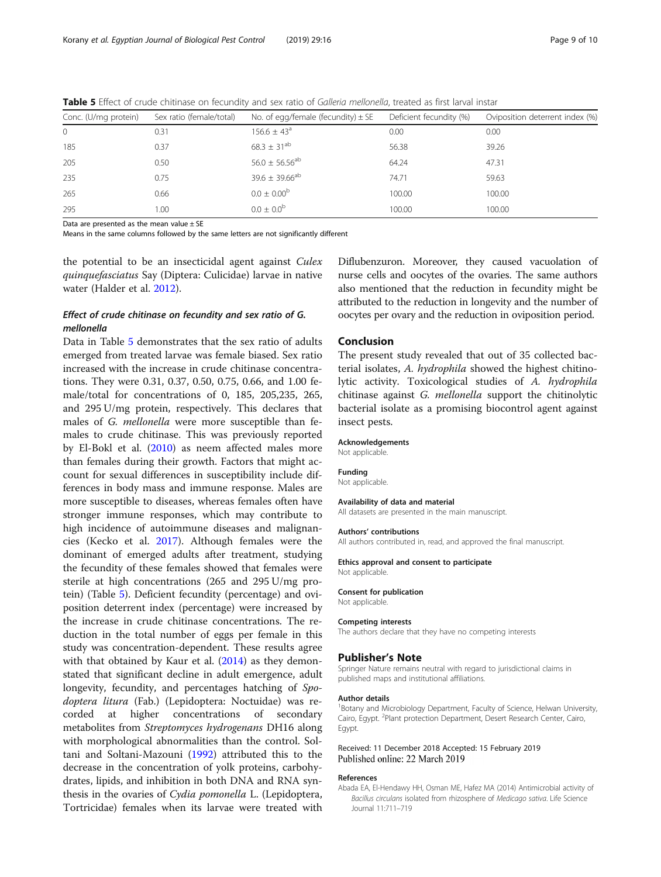<span id="page-8-0"></span>

| Conc. (U/mg protein) | Sex ratio (female/total) | No. of egg/female (fecundity) $\pm$ SE | Deficient fecundity (%) | Oviposition deterrent index (%) |
|----------------------|--------------------------|----------------------------------------|-------------------------|---------------------------------|
| $\Omega$             | 0.31                     | $156.6 \pm 43^{\circ}$                 | 0.00                    | 0.00                            |
| 185                  | 0.37                     | $68.3 \pm 31^{ab}$                     | 56.38                   | 39.26                           |
| 205                  | 0.50                     | $56.0 \pm 56.56$ <sup>ab</sup>         | 64.24                   | 47.31                           |
| 235                  | 0.75                     | $39.6 \pm 39.66^{ab}$                  | 74.71                   | 59.63                           |
| 265                  | 0.66                     | $0.0 \pm 0.00^{\rm b}$                 | 100.00                  | 100.00                          |
| 295                  | 1.00                     | $0.0 \pm 0.0$ <sup>b</sup>             | 100.00                  | 100.00                          |

Data are presented as the mean value  $\pm$  SE

Means in the same columns followed by the same letters are not significantly different

the potential to be an insecticidal agent against Culex quinquefasciatus Say (Diptera: Culicidae) larvae in native water (Halder et al. [2012](#page-9-0)).

## Effect of crude chitinase on fecundity and sex ratio of G. mellonella

Data in Table 5 demonstrates that the sex ratio of adults emerged from treated larvae was female biased. Sex ratio increased with the increase in crude chitinase concentrations. They were 0.31, 0.37, 0.50, 0.75, 0.66, and 1.00 female/total for concentrations of 0, 185, 205,235, 265, and 295 U/mg protein, respectively. This declares that males of G. mellonella were more susceptible than females to crude chitinase. This was previously reported by El-Bokl et al. ([2010\)](#page-9-0) as neem affected males more than females during their growth. Factors that might account for sexual differences in susceptibility include differences in body mass and immune response. Males are more susceptible to diseases, whereas females often have stronger immune responses, which may contribute to high incidence of autoimmune diseases and malignancies (Kecko et al. [2017](#page-9-0)). Although females were the dominant of emerged adults after treatment, studying the fecundity of these females showed that females were sterile at high concentrations (265 and 295 U/mg protein) (Table 5). Deficient fecundity (percentage) and oviposition deterrent index (percentage) were increased by the increase in crude chitinase concentrations. The reduction in the total number of eggs per female in this study was concentration-dependent. These results agree with that obtained by Kaur et al. ([2014](#page-9-0)) as they demonstated that significant decline in adult emergence, adult longevity, fecundity, and percentages hatching of Spodoptera litura (Fab.) (Lepidoptera: Noctuidae) was recorded at higher concentrations of secondary metabolites from Streptomyces hydrogenans DH16 along with morphological abnormalities than the control. Soltani and Soltani-Mazouni ([1992](#page-9-0)) attributed this to the decrease in the concentration of yolk proteins, carbohydrates, lipids, and inhibition in both DNA and RNA synthesis in the ovaries of Cydia pomonella L. (Lepidoptera, Tortricidae) females when its larvae were treated with

Diflubenzuron. Moreover, they caused vacuolation of nurse cells and oocytes of the ovaries. The same authors also mentioned that the reduction in fecundity might be attributed to the reduction in longevity and the number of oocytes per ovary and the reduction in oviposition period.

#### Conclusion

The present study revealed that out of 35 collected bacterial isolates, A. hydrophila showed the highest chitinolytic activity. Toxicological studies of A. hydrophila chitinase against G. mellonella support the chitinolytic bacterial isolate as a promising biocontrol agent against insect pests.

# Acknowledgements

Not applicable.

# Funding

Not applicable.

#### Availability of data and material

All datasets are presented in the main manuscript.

#### Authors' contributions

All authors contributed in, read, and approved the final manuscript.

#### Ethics approval and consent to participate

Not applicable.

#### Consent for publication

Not applicable.

#### Competing interests

The authors declare that they have no competing interests

#### Publisher's Note

Springer Nature remains neutral with regard to jurisdictional claims in published maps and institutional affiliations.

#### Author details

<sup>1</sup> Botany and Microbiology Department, Faculty of Science, Helwan University Cairo, Egypt. <sup>2</sup>Plant protection Department, Desert Research Center, Cairo, Egypt.

#### Received: 11 December 2018 Accepted: 15 February 2019 Published online: 22 March 2019

#### References

Abada EA, El-Hendawy HH, Osman ME, Hafez MA (2014) Antimicrobial activity of Bacillus circulans isolated from rhizosphere of Medicago sativa. Life Science Journal 11:711–719